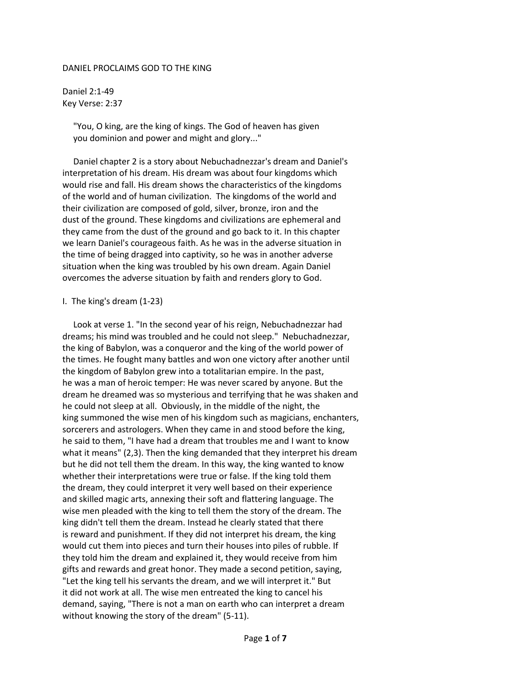## DANIEL PROCLAIMS GOD TO THE KING

Daniel 2:1-49 Key Verse: 2:37

> "You, O king, are the king of kings. The God of heaven has given you dominion and power and might and glory..."

 Daniel chapter 2 is a story about Nebuchadnezzar's dream and Daniel's interpretation of his dream. His dream was about four kingdoms which would rise and fall. His dream shows the characteristics of the kingdoms of the world and of human civilization. The kingdoms of the world and their civilization are composed of gold, silver, bronze, iron and the dust of the ground. These kingdoms and civilizations are ephemeral and they came from the dust of the ground and go back to it. In this chapter we learn Daniel's courageous faith. As he was in the adverse situation in the time of being dragged into captivity, so he was in another adverse situation when the king was troubled by his own dream. Again Daniel overcomes the adverse situation by faith and renders glory to God.

## I. The king's dream (1-23)

 Look at verse 1. "In the second year of his reign, Nebuchadnezzar had dreams; his mind was troubled and he could not sleep." Nebuchadnezzar, the king of Babylon, was a conqueror and the king of the world power of the times. He fought many battles and won one victory after another until the kingdom of Babylon grew into a totalitarian empire. In the past, he was a man of heroic temper: He was never scared by anyone. But the dream he dreamed was so mysterious and terrifying that he was shaken and he could not sleep at all. Obviously, in the middle of the night, the king summoned the wise men of his kingdom such as magicians, enchanters, sorcerers and astrologers. When they came in and stood before the king, he said to them, "I have had a dream that troubles me and I want to know what it means" (2,3). Then the king demanded that they interpret his dream but he did not tell them the dream. In this way, the king wanted to know whether their interpretations were true or false. If the king told them the dream, they could interpret it very well based on their experience and skilled magic arts, annexing their soft and flattering language. The wise men pleaded with the king to tell them the story of the dream. The king didn't tell them the dream. Instead he clearly stated that there is reward and punishment. If they did not interpret his dream, the king would cut them into pieces and turn their houses into piles of rubble. If they told him the dream and explained it, they would receive from him gifts and rewards and great honor. They made a second petition, saying, "Let the king tell his servants the dream, and we will interpret it." But it did not work at all. The wise men entreated the king to cancel his demand, saying, "There is not a man on earth who can interpret a dream without knowing the story of the dream" (5-11).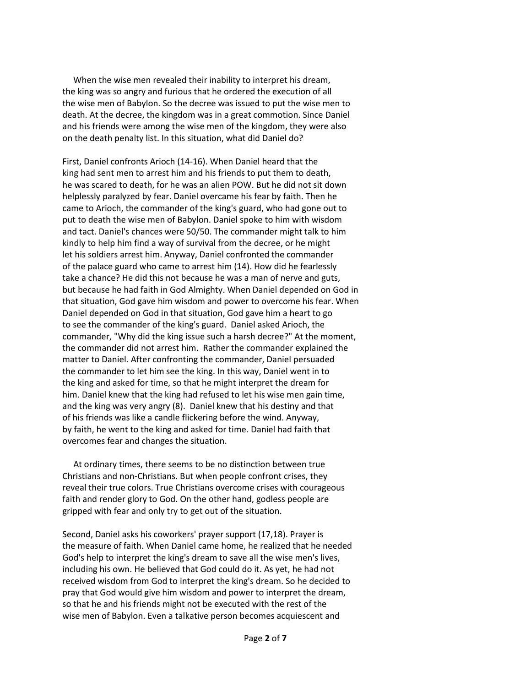When the wise men revealed their inability to interpret his dream, the king was so angry and furious that he ordered the execution of all the wise men of Babylon. So the decree was issued to put the wise men to death. At the decree, the kingdom was in a great commotion. Since Daniel and his friends were among the wise men of the kingdom, they were also on the death penalty list. In this situation, what did Daniel do?

First, Daniel confronts Arioch (14-16). When Daniel heard that the king had sent men to arrest him and his friends to put them to death, he was scared to death, for he was an alien POW. But he did not sit down helplessly paralyzed by fear. Daniel overcame his fear by faith. Then he came to Arioch, the commander of the king's guard, who had gone out to put to death the wise men of Babylon. Daniel spoke to him with wisdom and tact. Daniel's chances were 50/50. The commander might talk to him kindly to help him find a way of survival from the decree, or he might let his soldiers arrest him. Anyway, Daniel confronted the commander of the palace guard who came to arrest him (14). How did he fearlessly take a chance? He did this not because he was a man of nerve and guts, but because he had faith in God Almighty. When Daniel depended on God in that situation, God gave him wisdom and power to overcome his fear. When Daniel depended on God in that situation, God gave him a heart to go to see the commander of the king's guard. Daniel asked Arioch, the commander, "Why did the king issue such a harsh decree?" At the moment, the commander did not arrest him. Rather the commander explained the matter to Daniel. After confronting the commander, Daniel persuaded the commander to let him see the king. In this way, Daniel went in to the king and asked for time, so that he might interpret the dream for him. Daniel knew that the king had refused to let his wise men gain time, and the king was very angry (8). Daniel knew that his destiny and that of his friends was like a candle flickering before the wind. Anyway, by faith, he went to the king and asked for time. Daniel had faith that overcomes fear and changes the situation.

 At ordinary times, there seems to be no distinction between true Christians and non-Christians. But when people confront crises, they reveal their true colors. True Christians overcome crises with courageous faith and render glory to God. On the other hand, godless people are gripped with fear and only try to get out of the situation.

Second, Daniel asks his coworkers' prayer support (17,18). Prayer is the measure of faith. When Daniel came home, he realized that he needed God's help to interpret the king's dream to save all the wise men's lives, including his own. He believed that God could do it. As yet, he had not received wisdom from God to interpret the king's dream. So he decided to pray that God would give him wisdom and power to interpret the dream, so that he and his friends might not be executed with the rest of the wise men of Babylon. Even a talkative person becomes acquiescent and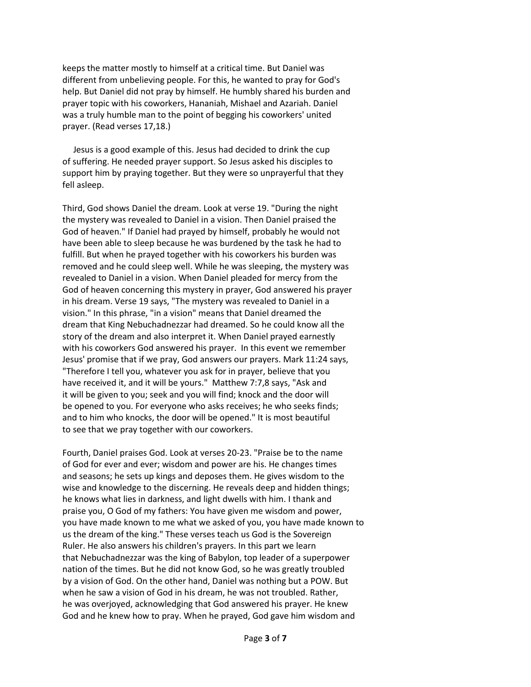keeps the matter mostly to himself at a critical time. But Daniel was different from unbelieving people. For this, he wanted to pray for God's help. But Daniel did not pray by himself. He humbly shared his burden and prayer topic with his coworkers, Hananiah, Mishael and Azariah. Daniel was a truly humble man to the point of begging his coworkers' united prayer. (Read verses 17,18.)

 Jesus is a good example of this. Jesus had decided to drink the cup of suffering. He needed prayer support. So Jesus asked his disciples to support him by praying together. But they were so unprayerful that they fell asleep.

Third, God shows Daniel the dream. Look at verse 19. "During the night the mystery was revealed to Daniel in a vision. Then Daniel praised the God of heaven." If Daniel had prayed by himself, probably he would not have been able to sleep because he was burdened by the task he had to fulfill. But when he prayed together with his coworkers his burden was removed and he could sleep well. While he was sleeping, the mystery was revealed to Daniel in a vision. When Daniel pleaded for mercy from the God of heaven concerning this mystery in prayer, God answered his prayer in his dream. Verse 19 says, "The mystery was revealed to Daniel in a vision." In this phrase, "in a vision" means that Daniel dreamed the dream that King Nebuchadnezzar had dreamed. So he could know all the story of the dream and also interpret it. When Daniel prayed earnestly with his coworkers God answered his prayer. In this event we remember Jesus' promise that if we pray, God answers our prayers. Mark 11:24 says, "Therefore I tell you, whatever you ask for in prayer, believe that you have received it, and it will be yours." Matthew 7:7,8 says, "Ask and it will be given to you; seek and you will find; knock and the door will be opened to you. For everyone who asks receives; he who seeks finds; and to him who knocks, the door will be opened." It is most beautiful to see that we pray together with our coworkers.

Fourth, Daniel praises God. Look at verses 20-23. "Praise be to the name of God for ever and ever; wisdom and power are his. He changes times and seasons; he sets up kings and deposes them. He gives wisdom to the wise and knowledge to the discerning. He reveals deep and hidden things; he knows what lies in darkness, and light dwells with him. I thank and praise you, O God of my fathers: You have given me wisdom and power, you have made known to me what we asked of you, you have made known to us the dream of the king." These verses teach us God is the Sovereign Ruler. He also answers his children's prayers. In this part we learn that Nebuchadnezzar was the king of Babylon, top leader of a superpower nation of the times. But he did not know God, so he was greatly troubled by a vision of God. On the other hand, Daniel was nothing but a POW. But when he saw a vision of God in his dream, he was not troubled. Rather, he was overjoyed, acknowledging that God answered his prayer. He knew God and he knew how to pray. When he prayed, God gave him wisdom and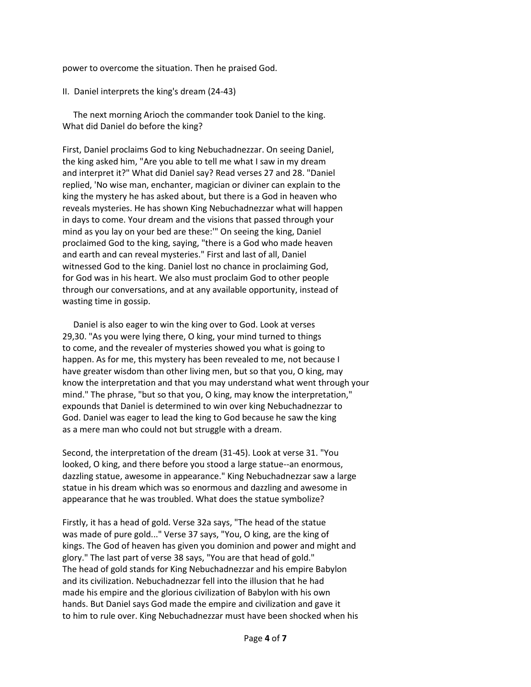power to overcome the situation. Then he praised God.

II. Daniel interprets the king's dream (24-43)

 The next morning Arioch the commander took Daniel to the king. What did Daniel do before the king?

First, Daniel proclaims God to king Nebuchadnezzar. On seeing Daniel, the king asked him, "Are you able to tell me what I saw in my dream and interpret it?" What did Daniel say? Read verses 27 and 28. "Daniel replied, 'No wise man, enchanter, magician or diviner can explain to the king the mystery he has asked about, but there is a God in heaven who reveals mysteries. He has shown King Nebuchadnezzar what will happen in days to come. Your dream and the visions that passed through your mind as you lay on your bed are these:'" On seeing the king, Daniel proclaimed God to the king, saying, "there is a God who made heaven and earth and can reveal mysteries." First and last of all, Daniel witnessed God to the king. Daniel lost no chance in proclaiming God, for God was in his heart. We also must proclaim God to other people through our conversations, and at any available opportunity, instead of wasting time in gossip.

 Daniel is also eager to win the king over to God. Look at verses 29,30. "As you were lying there, O king, your mind turned to things to come, and the revealer of mysteries showed you what is going to happen. As for me, this mystery has been revealed to me, not because I have greater wisdom than other living men, but so that you, O king, may know the interpretation and that you may understand what went through your mind." The phrase, "but so that you, O king, may know the interpretation," expounds that Daniel is determined to win over king Nebuchadnezzar to God. Daniel was eager to lead the king to God because he saw the king as a mere man who could not but struggle with a dream.

Second, the interpretation of the dream (31-45). Look at verse 31. "You looked, O king, and there before you stood a large statue--an enormous, dazzling statue, awesome in appearance." King Nebuchadnezzar saw a large statue in his dream which was so enormous and dazzling and awesome in appearance that he was troubled. What does the statue symbolize?

Firstly, it has a head of gold. Verse 32a says, "The head of the statue was made of pure gold..." Verse 37 says, "You, O king, are the king of kings. The God of heaven has given you dominion and power and might and glory." The last part of verse 38 says, "You are that head of gold." The head of gold stands for King Nebuchadnezzar and his empire Babylon and its civilization. Nebuchadnezzar fell into the illusion that he had made his empire and the glorious civilization of Babylon with his own hands. But Daniel says God made the empire and civilization and gave it to him to rule over. King Nebuchadnezzar must have been shocked when his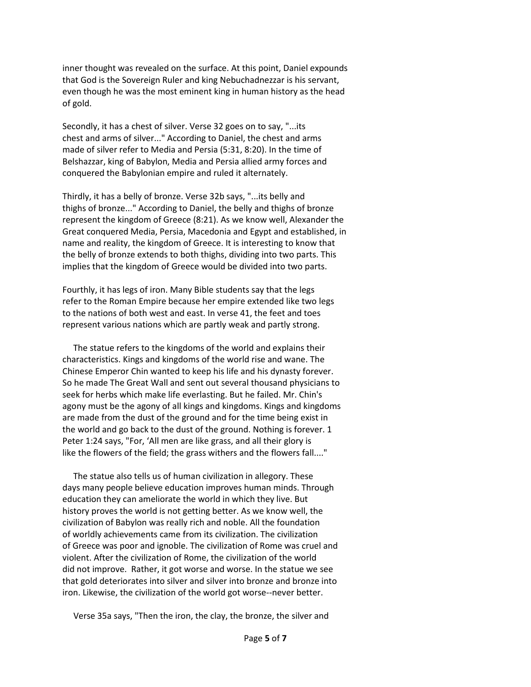inner thought was revealed on the surface. At this point, Daniel expounds that God is the Sovereign Ruler and king Nebuchadnezzar is his servant, even though he was the most eminent king in human history as the head of gold.

Secondly, it has a chest of silver. Verse 32 goes on to say, "...its chest and arms of silver..." According to Daniel, the chest and arms made of silver refer to Media and Persia (5:31, 8:20). In the time of Belshazzar, king of Babylon, Media and Persia allied army forces and conquered the Babylonian empire and ruled it alternately.

Thirdly, it has a belly of bronze. Verse 32b says, "...its belly and thighs of bronze..." According to Daniel, the belly and thighs of bronze represent the kingdom of Greece (8:21). As we know well, Alexander the Great conquered Media, Persia, Macedonia and Egypt and established, in name and reality, the kingdom of Greece. It is interesting to know that the belly of bronze extends to both thighs, dividing into two parts. This implies that the kingdom of Greece would be divided into two parts.

Fourthly, it has legs of iron. Many Bible students say that the legs refer to the Roman Empire because her empire extended like two legs to the nations of both west and east. In verse 41, the feet and toes represent various nations which are partly weak and partly strong.

 The statue refers to the kingdoms of the world and explains their characteristics. Kings and kingdoms of the world rise and wane. The Chinese Emperor Chin wanted to keep his life and his dynasty forever. So he made The Great Wall and sent out several thousand physicians to seek for herbs which make life everlasting. But he failed. Mr. Chin's agony must be the agony of all kings and kingdoms. Kings and kingdoms are made from the dust of the ground and for the time being exist in the world and go back to the dust of the ground. Nothing is forever. 1 Peter 1:24 says, "For, 'All men are like grass, and all their glory is like the flowers of the field; the grass withers and the flowers fall...."

 The statue also tells us of human civilization in allegory. These days many people believe education improves human minds. Through education they can ameliorate the world in which they live. But history proves the world is not getting better. As we know well, the civilization of Babylon was really rich and noble. All the foundation of worldly achievements came from its civilization. The civilization of Greece was poor and ignoble. The civilization of Rome was cruel and violent. After the civilization of Rome, the civilization of the world did not improve. Rather, it got worse and worse. In the statue we see that gold deteriorates into silver and silver into bronze and bronze into iron. Likewise, the civilization of the world got worse--never better.

Verse 35a says, "Then the iron, the clay, the bronze, the silver and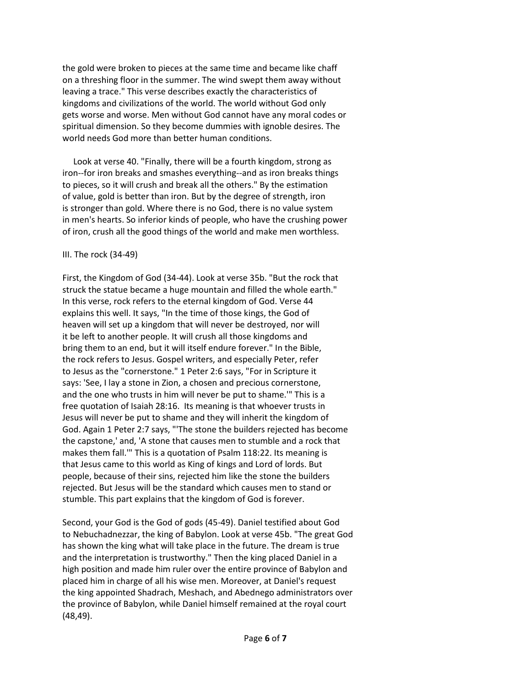the gold were broken to pieces at the same time and became like chaff on a threshing floor in the summer. The wind swept them away without leaving a trace." This verse describes exactly the characteristics of kingdoms and civilizations of the world. The world without God only gets worse and worse. Men without God cannot have any moral codes or spiritual dimension. So they become dummies with ignoble desires. The world needs God more than better human conditions.

 Look at verse 40. "Finally, there will be a fourth kingdom, strong as iron--for iron breaks and smashes everything--and as iron breaks things to pieces, so it will crush and break all the others." By the estimation of value, gold is better than iron. But by the degree of strength, iron is stronger than gold. Where there is no God, there is no value system in men's hearts. So inferior kinds of people, who have the crushing power of iron, crush all the good things of the world and make men worthless.

## III. The rock (34-49)

First, the Kingdom of God (34-44). Look at verse 35b. "But the rock that struck the statue became a huge mountain and filled the whole earth." In this verse, rock refers to the eternal kingdom of God. Verse 44 explains this well. It says, "In the time of those kings, the God of heaven will set up a kingdom that will never be destroyed, nor will it be left to another people. It will crush all those kingdoms and bring them to an end, but it will itself endure forever." In the Bible, the rock refers to Jesus. Gospel writers, and especially Peter, refer to Jesus as the "cornerstone." 1 Peter 2:6 says, "For in Scripture it says: 'See, I lay a stone in Zion, a chosen and precious cornerstone, and the one who trusts in him will never be put to shame.'" This is a free quotation of Isaiah 28:16. Its meaning is that whoever trusts in Jesus will never be put to shame and they will inherit the kingdom of God. Again 1 Peter 2:7 says, "'The stone the builders rejected has become the capstone,' and, 'A stone that causes men to stumble and a rock that makes them fall.'" This is a quotation of Psalm 118:22. Its meaning is that Jesus came to this world as King of kings and Lord of lords. But people, because of their sins, rejected him like the stone the builders rejected. But Jesus will be the standard which causes men to stand or stumble. This part explains that the kingdom of God is forever.

Second, your God is the God of gods (45-49). Daniel testified about God to Nebuchadnezzar, the king of Babylon. Look at verse 45b. "The great God has shown the king what will take place in the future. The dream is true and the interpretation is trustworthy." Then the king placed Daniel in a high position and made him ruler over the entire province of Babylon and placed him in charge of all his wise men. Moreover, at Daniel's request the king appointed Shadrach, Meshach, and Abednego administrators over the province of Babylon, while Daniel himself remained at the royal court (48,49).